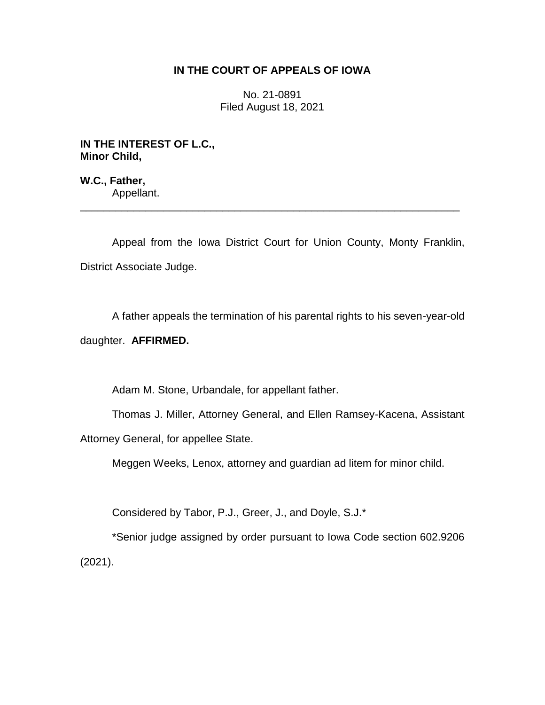## **IN THE COURT OF APPEALS OF IOWA**

No. 21-0891 Filed August 18, 2021

**IN THE INTEREST OF L.C., Minor Child,**

**W.C., Father,** Appellant.

Appeal from the Iowa District Court for Union County, Monty Franklin, District Associate Judge.

\_\_\_\_\_\_\_\_\_\_\_\_\_\_\_\_\_\_\_\_\_\_\_\_\_\_\_\_\_\_\_\_\_\_\_\_\_\_\_\_\_\_\_\_\_\_\_\_\_\_\_\_\_\_\_\_\_\_\_\_\_\_\_\_

A father appeals the termination of his parental rights to his seven-year-old

daughter. **AFFIRMED.**

Adam M. Stone, Urbandale, for appellant father.

Thomas J. Miller, Attorney General, and Ellen Ramsey-Kacena, Assistant Attorney General, for appellee State.

Meggen Weeks, Lenox, attorney and guardian ad litem for minor child.

Considered by Tabor, P.J., Greer, J., and Doyle, S.J.\*

\*Senior judge assigned by order pursuant to Iowa Code section 602.9206 (2021).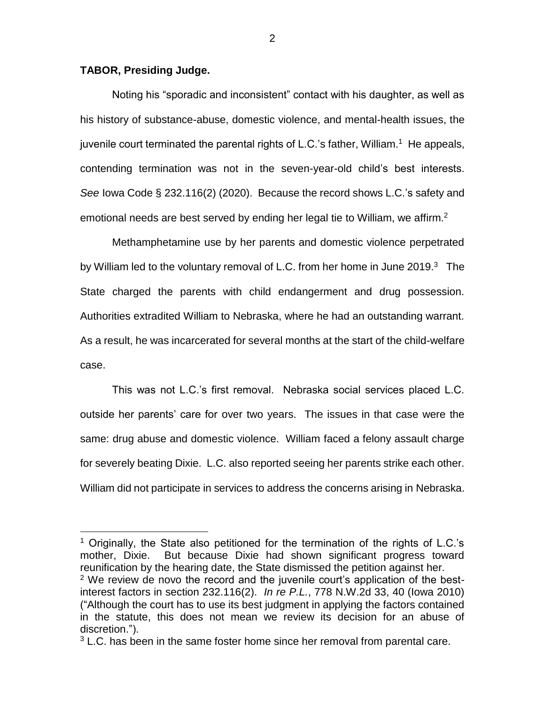## **TABOR, Presiding Judge.**

 $\overline{a}$ 

Noting his "sporadic and inconsistent" contact with his daughter, as well as his history of substance-abuse, domestic violence, and mental-health issues, the juvenile court terminated the parental rights of L.C.'s father, William.<sup>1</sup> He appeals, contending termination was not in the seven-year-old child's best interests. *See* Iowa Code § 232.116(2) (2020). Because the record shows L.C.'s safety and emotional needs are best served by ending her legal tie to William, we affirm.<sup>2</sup>

Methamphetamine use by her parents and domestic violence perpetrated by William led to the voluntary removal of L.C. from her home in June 2019. $3$  The State charged the parents with child endangerment and drug possession. Authorities extradited William to Nebraska, where he had an outstanding warrant. As a result, he was incarcerated for several months at the start of the child-welfare case.

This was not L.C.'s first removal. Nebraska social services placed L.C. outside her parents' care for over two years. The issues in that case were the same: drug abuse and domestic violence. William faced a felony assault charge for severely beating Dixie. L.C. also reported seeing her parents strike each other. William did not participate in services to address the concerns arising in Nebraska.

<sup>&</sup>lt;sup>1</sup> Originally, the State also petitioned for the termination of the rights of L.C.'s mother, Dixie. But because Dixie had shown significant progress toward reunification by the hearing date, the State dismissed the petition against her.

 $2$  We review de novo the record and the juvenile court's application of the bestinterest factors in section 232.116(2). *In re P.L.*, 778 N.W.2d 33, 40 (Iowa 2010) ("Although the court has to use its best judgment in applying the factors contained in the statute, this does not mean we review its decision for an abuse of discretion.").

<sup>&</sup>lt;sup>3</sup> L.C. has been in the same foster home since her removal from parental care.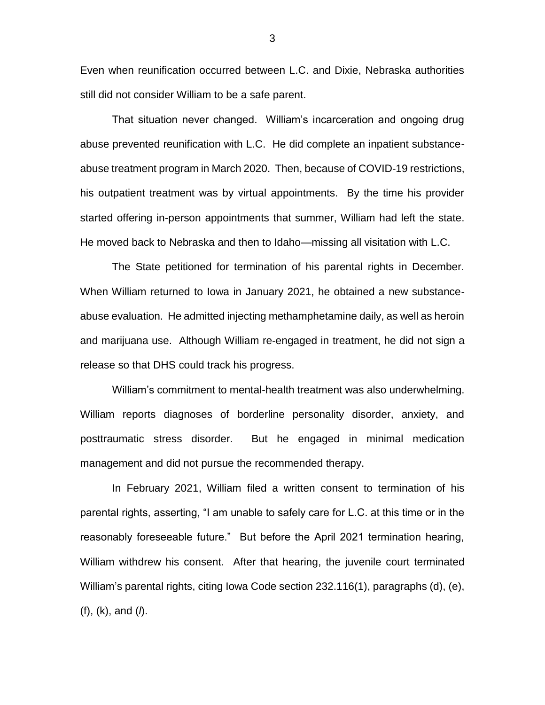Even when reunification occurred between L.C. and Dixie, Nebraska authorities still did not consider William to be a safe parent.

That situation never changed. William's incarceration and ongoing drug abuse prevented reunification with L.C. He did complete an inpatient substanceabuse treatment program in March 2020. Then, because of COVID-19 restrictions, his outpatient treatment was by virtual appointments. By the time his provider started offering in-person appointments that summer, William had left the state. He moved back to Nebraska and then to Idaho—missing all visitation with L.C.

The State petitioned for termination of his parental rights in December. When William returned to Iowa in January 2021, he obtained a new substanceabuse evaluation. He admitted injecting methamphetamine daily, as well as heroin and marijuana use. Although William re-engaged in treatment, he did not sign a release so that DHS could track his progress.

William's commitment to mental-health treatment was also underwhelming. William reports diagnoses of borderline personality disorder, anxiety, and posttraumatic stress disorder. But he engaged in minimal medication management and did not pursue the recommended therapy.

In February 2021, William filed a written consent to termination of his parental rights, asserting, "I am unable to safely care for L.C. at this time or in the reasonably foreseeable future." But before the April 2021 termination hearing, William withdrew his consent. After that hearing, the juvenile court terminated William's parental rights, citing Iowa Code section 232.116(1), paragraphs (d), (e), (f), (k), and (*l*).

3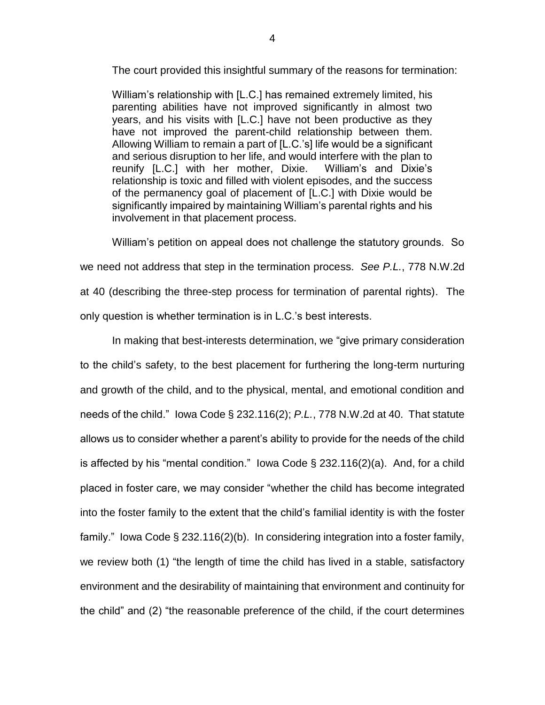The court provided this insightful summary of the reasons for termination:

William's relationship with [L.C.] has remained extremely limited, his parenting abilities have not improved significantly in almost two years, and his visits with [L.C.] have not been productive as they have not improved the parent-child relationship between them. Allowing William to remain a part of [L.C.'s] life would be a significant and serious disruption to her life, and would interfere with the plan to reunify [L.C.] with her mother, Dixie. William's and Dixie's relationship is toxic and filled with violent episodes, and the success of the permanency goal of placement of [L.C.] with Dixie would be significantly impaired by maintaining William's parental rights and his involvement in that placement process.

William's petition on appeal does not challenge the statutory grounds. So we need not address that step in the termination process. *See P.L.*, 778 N.W.2d at 40 (describing the three-step process for termination of parental rights). The only question is whether termination is in L.C.'s best interests.

In making that best-interests determination, we "give primary consideration to the child's safety, to the best placement for furthering the long-term nurturing and growth of the child, and to the physical, mental, and emotional condition and needs of the child." Iowa Code § 232.116(2); *P.L.*, 778 N.W.2d at 40. That statute allows us to consider whether a parent's ability to provide for the needs of the child is affected by his "mental condition." Iowa Code  $\S$  232.116(2)(a). And, for a child placed in foster care, we may consider "whether the child has become integrated into the foster family to the extent that the child's familial identity is with the foster family." Iowa Code § 232.116(2)(b). In considering integration into a foster family, we review both (1) "the length of time the child has lived in a stable, satisfactory environment and the desirability of maintaining that environment and continuity for the child" and (2) "the reasonable preference of the child, if the court determines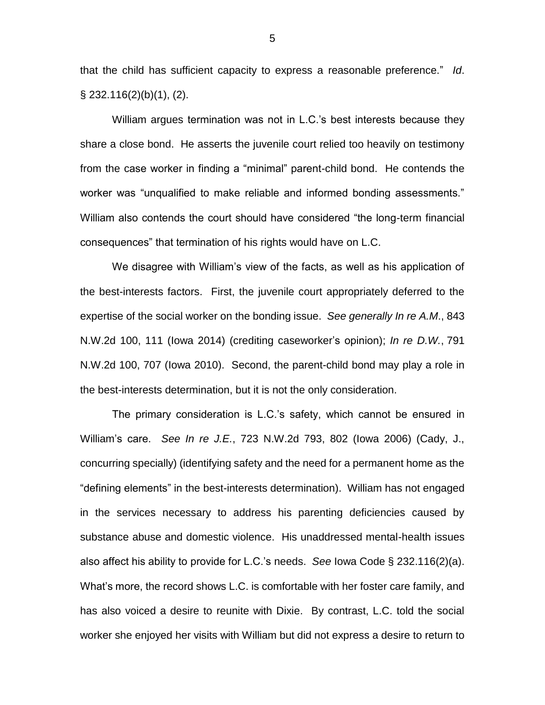that the child has sufficient capacity to express a reasonable preference." *Id*. § 232.116(2)(b)(1), (2).

William argues termination was not in L.C.'s best interests because they share a close bond. He asserts the juvenile court relied too heavily on testimony from the case worker in finding a "minimal" parent-child bond. He contends the worker was "unqualified to make reliable and informed bonding assessments." William also contends the court should have considered "the long-term financial consequences" that termination of his rights would have on L.C.

We disagree with William's view of the facts, as well as his application of the best-interests factors. First, the juvenile court appropriately deferred to the expertise of the social worker on the bonding issue. *See generally In re A.M*., 843 N.W.2d 100, 111 (Iowa 2014) (crediting caseworker's opinion); *In re D.W.*, 791 N.W.2d 100, 707 (Iowa 2010). Second, the parent-child bond may play a role in the best-interests determination, but it is not the only consideration.

The primary consideration is L.C.'s safety, which cannot be ensured in William's care. *See In re J.E.*, 723 N.W.2d 793, 802 (Iowa 2006) (Cady, J., concurring specially) (identifying safety and the need for a permanent home as the "defining elements" in the best-interests determination). William has not engaged in the services necessary to address his parenting deficiencies caused by substance abuse and domestic violence. His unaddressed mental-health issues also affect his ability to provide for L.C.'s needs. *See* Iowa Code § 232.116(2)(a). What's more, the record shows L.C. is comfortable with her foster care family, and has also voiced a desire to reunite with Dixie. By contrast, L.C. told the social worker she enjoyed her visits with William but did not express a desire to return to